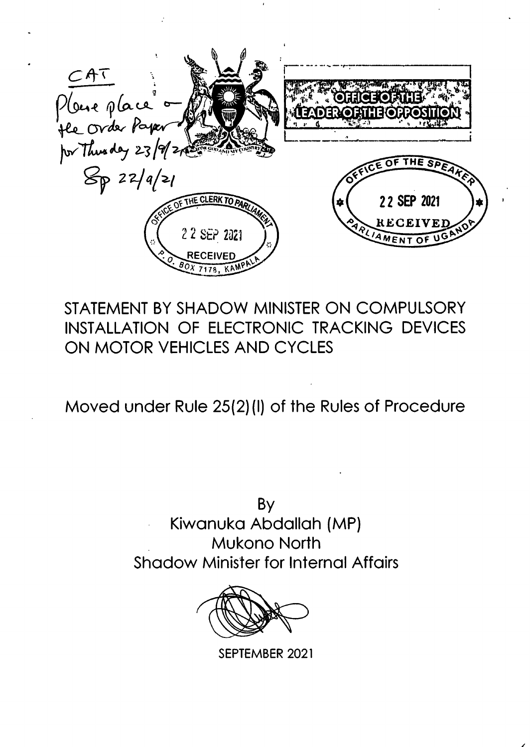Place place a flag<br>He Order Paper **TOSFICIALITY** 22 SEP 2021 立 RECEIVE 2 2 SEP 2021 RECEIVED  $20x$  7178. KAM

# STATEMENT BY SHADOW MINISTER ON COMPULSORY INSTALLATION OF ELECTRONIC TRACKING DEVICES ON MOTOR VEHICLES AND CYCLES

Moved under Rule 25(2)(I) of the Rules of Procedure

By Kiwanuka Abdallah (MP) **Mukono North Shadow Minister for Internal Affairs** 



SEPTEMBER 2021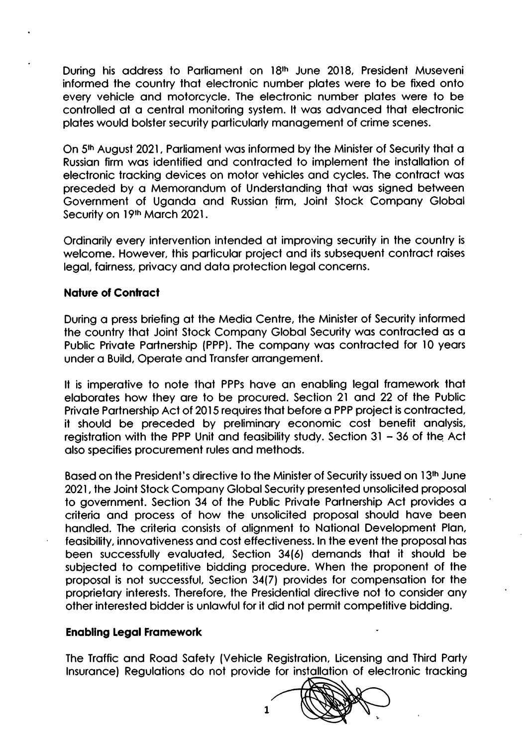During his address to Parliament on 18<sup>th</sup> June 2018, President Museveni informed the country that electronic number plates were to be fixed onto every vehicle and motorcycle. The electronic number plates were to be controlled at a central monitoring system. It was advanced that electronic plotes would bolster security porticulorly monogement of crime scenes.

On 5<sup>th</sup> August 2021, Parliament was informed by the Minister of Security that a Russion firm wos identified ond controcted lo implemenl the instollotion of electronic trocking devices on motor vehicles ond cycles. The controct wos preceded by o Memorondum of Underslonding thol wos signed between Government of Ugondo ond Russion firm, Joinl Stock Compony Globol Security on 19th March 2021.

Ordinarily every intervention intended at improving security in the country is welcome. However, this particular project and its subsequent contract raises legal, fairness, privacy and data protection legal concerns.

#### **Nature of Contract**

During o press briefing of the Medio Centre, the Minister of Security informed the country that Joint Stock Company Global Security was contracted as a Public Private Partnership (PPP). The company was contracted for 10 years under o Build, Operote ond Tronsfer orrongement.

It is imperative to note that PPPs have an enabling legal framework that elaborates how they are to be procured. Section 21 and 22 of the Public Private Partnership Act of 2015 requires that before a PPP project is contracted, it should be preceded by preliminory economic cost benefit onolysis, registration with the PPP Unit and feasibility study. Section  $31 - 36$  of the Act also specifies procurement rules and methods.

Based on the President's directive to the Minister of Security issued on 13<sup>th</sup> June 2021, the Joint Stock Company Global Security presented unsolicited proposal to government. Section 34 of the Public Private Partnership Act provides a criteria and process of how the unsolicited proposal should have been handled. The criteria consists of alianment to National Development Plan, feasibility, innovativeness and cost effectiveness. In the event the proposal has been successfully evaluated, Section 34(6) demands that it should be subjected to competitive bidding procedure. When the proponent of the proposal is not successful, Section 34(7) provides for compensation for the proprietary interests. Therefore, the Presidential directive not to consider any other interested bidder is unlowful for it did not permit compelitive bidding.

#### Enobllng Legol Fromework

The Troffic ond Rood Sofety (Vehicle Regislrotion, Licensing ond Third Porty Insurance) Regulations do not provide for installation of electronic tracking

!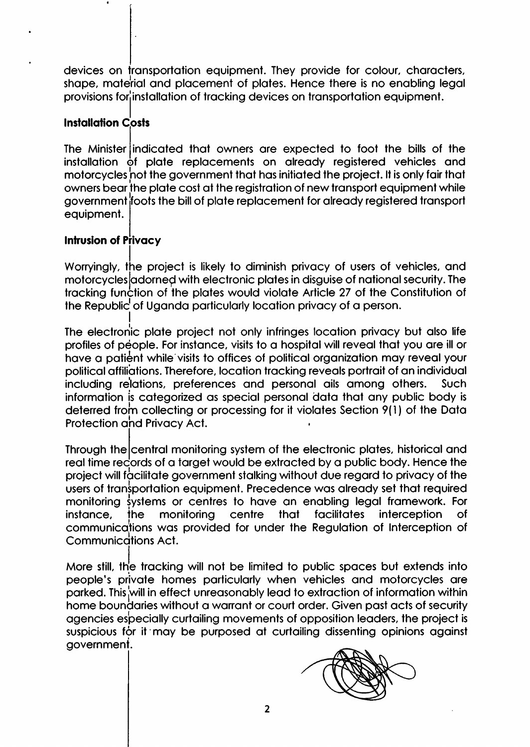devices on fransportation equipment. They provide for colour, characters, shape, material and placement of plates. Hence there is no enabling legal provisions for installation of tracking devices on transportation equipment.

# Installation C<mark>osts</mark>

The Minister indicated that owners are expected to foot the bills of the<br>installation of adds, and process to an alteraty projetimed unbigles and installation of plate replacements on already registered vehicles and motorcycles not the government that has initiated the project. It is only fair that owners bear the plate cost at the registration of new transport equipment while government ifoots the bill of plole replocement for olreody registered lronsport equipment.

### Intrusion of Privacy

I

I

Worryingly, the project is likely to diminish privacy of users of vehicles, and motorcycles adorned with electronic plates in disguise of national security. The tracking function of the plates would violate Article 27 of the Constitution of the Republic<sup>1</sup> of Uganda particularly location privacy of a person.

The electronic plate project not only infringes location privacy but also life profiles of people. For instance, visits to a hospital will reveal that you are ill or have a patient while visits to offices of political organization may reveal your political affiliations. Therefore, location tracking reveals portrait of an individual including relations, preferences and personal ails among others. Such information is categorized as special personal data that any public body is deterred from collecting or processing for it violates Section 9(1) of the Data Protection and Privacy Act.

Through the central monitoring system of the electronic plates, historical and real time rec<sup>i</sup>ords of a target would be extracted by a public body. Hence the project will facilitate government stalking without due regard to privacy of the users of transportation equipment. Precedence was already set that required monitoring systems or centres to have an enabling legal framework. For instonce, țhe communications was provided for under the Regulation of Interception of Communications Act. s or centres to have an enabling legal harmonic. The<br>monitoring centre that facilitates interception of

More still, the tracking will not be limited to public spaces but extends into people's private homes particularly when vehicles and motorcycles are parked. This will in effect unreasonably lead to extraction of information withir agencies especially curtailing movements of opposition leaders, the project is home boundaries without a warrant or court order. Given past acts of security ageneric cipicially comaining interesting or opposition to a active project to governme ni.